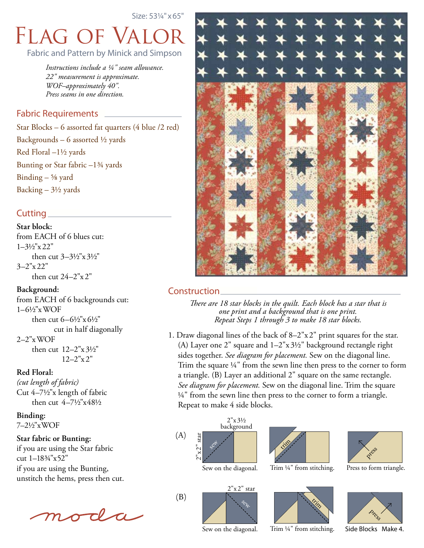Size: 53¼" x65"

# Flag of Valor Fabric and Pattern by Minick and Simpson

*Instructions include a ¼" seam allowance. 22" measurement is approximate. WOF–approximately 40". Press seams in one direction.*

# Fabric Requirements

Star Blocks – 6 assorted fat quarters (4 blue /2 red) Backgrounds – 6 assorted  $\frac{1}{2}$  yards Red Floral –1½ yards Bunting or Star fabric –1¾ yards Binding  $\frac{5}{8}$  yard Backing  $-3\frac{1}{2}$  yards

# Cutting

**Star block:**  from EACH of 6 blues cut: 1–3½"x 22" then cut 3–3½"x 3½" 3–2"x 22" then cut  $24-2"x 2"$ 

### **Background:**

from EACH of 6 backgrounds cut: 1–6½"xWOF then cut 6–6½"x 6½" cut in half diagonally 2–2"xWOF then cut 12–2"x 3½"  $12-2"$ x 2"

#### **Red Floral:**

*(cut length of fabric)* Cut 4–7½"x length of fabric then cut 4–7½"x48½

**Binding:**  7–2½"xWOF

**Star fabric or Bunting:** if you are using the Star fabric cut 1–18¾"x52" if you are using the Bunting, unstitch the hems, press then cut.





# Construction

*There are 18 star blocks in the quilt. Each block has a star that is one print and a background that is one print. Repeat Steps 1 through 3 to make 18 star blocks.*

1. Draw diagonal lines of the back of 8–2"x2" print squares for the star. (A) Layer one 2" square and 1–2"x 3½" background rectangle right sides together. *See diagram for placement.* Sew on the diagonal line. Trim the square ¼" from the sewn line then press to the corner to form a triangle. (B) Layer an additional 2" square on the same rectangle. *See diagram for placement.* Sew on the diagonal line. Trim the square  $\frac{1}{4}$ " from the sewn line then press to the corner to form a triangle. Repeat to make 4 side blocks.



(B)





Trim ¼" from stitching.

**Kity** 









Press to form triangle.



Side Blocks Make 4.